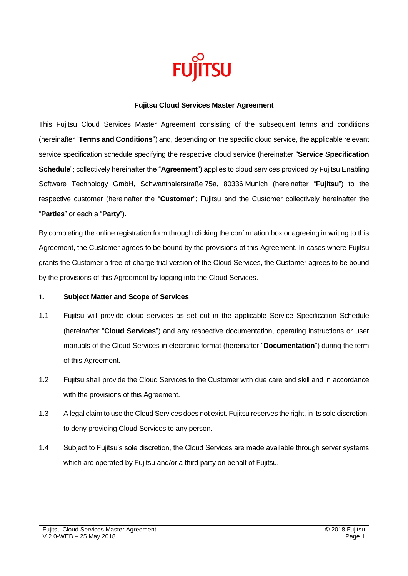

#### **Fujitsu Cloud Services Master Agreement**

This Fujitsu Cloud Services Master Agreement consisting of the subsequent terms and conditions (hereinafter "**Terms and Conditions**") and, depending on the specific cloud service, the applicable relevant service specification schedule specifying the respective cloud service (hereinafter "**Service Specification Schedule**"; collectively hereinafter the "**Agreement**") applies to cloud services provided by Fujitsu Enabling Software Technology GmbH, Schwanthalerstraße 75a, 80336 Munich (hereinafter "**Fujitsu**") to the respective customer (hereinafter the "**Customer**"; Fujitsu and the Customer collectively hereinafter the "**Parties**" or each a "**Party**").

By completing the online registration form through clicking the confirmation box or agreeing in writing to this Agreement, the Customer agrees to be bound by the provisions of this Agreement. In cases where Fujitsu grants the Customer a free-of-charge trial version of the Cloud Services, the Customer agrees to be bound by the provisions of this Agreement by logging into the Cloud Services.

### **1. Subject Matter and Scope of Services**

- 1.1 Fujitsu will provide cloud services as set out in the applicable Service Specification Schedule (hereinafter "**Cloud Services**") and any respective documentation, operating instructions or user manuals of the Cloud Services in electronic format (hereinafter "**Documentation**") during the term of this Agreement.
- 1.2 Fujitsu shall provide the Cloud Services to the Customer with due care and skill and in accordance with the provisions of this Agreement.
- 1.3 A legal claim to use the Cloud Services does not exist. Fujitsu reserves the right, in its sole discretion, to deny providing Cloud Services to any person.
- 1.4 Subject to Fujitsu's sole discretion, the Cloud Services are made available through server systems which are operated by Fujitsu and/or a third party on behalf of Fujitsu.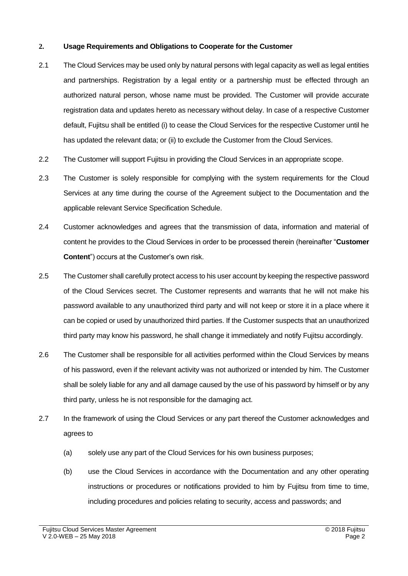## **2. Usage Requirements and Obligations to Cooperate for the Customer**

- 2.1 The Cloud Services may be used only by natural persons with legal capacity as well as legal entities and partnerships. Registration by a legal entity or a partnership must be effected through an authorized natural person, whose name must be provided. The Customer will provide accurate registration data and updates hereto as necessary without delay. In case of a respective Customer default, Fujitsu shall be entitled (i) to cease the Cloud Services for the respective Customer until he has updated the relevant data; or (ii) to exclude the Customer from the Cloud Services.
- 2.2 The Customer will support Fujitsu in providing the Cloud Services in an appropriate scope.
- 2.3 The Customer is solely responsible for complying with the system requirements for the Cloud Services at any time during the course of the Agreement subject to the Documentation and the applicable relevant Service Specification Schedule.
- 2.4 Customer acknowledges and agrees that the transmission of data, information and material of content he provides to the Cloud Services in order to be processed therein (hereinafter "**Customer Content**") occurs at the Customer's own risk.
- 2.5 The Customer shall carefully protect access to his user account by keeping the respective password of the Cloud Services secret. The Customer represents and warrants that he will not make his password available to any unauthorized third party and will not keep or store it in a place where it can be copied or used by unauthorized third parties. If the Customer suspects that an unauthorized third party may know his password, he shall change it immediately and notify Fujitsu accordingly.
- 2.6 The Customer shall be responsible for all activities performed within the Cloud Services by means of his password, even if the relevant activity was not authorized or intended by him. The Customer shall be solely liable for any and all damage caused by the use of his password by himself or by any third party, unless he is not responsible for the damaging act.
- 2.7 In the framework of using the Cloud Services or any part thereof the Customer acknowledges and agrees to
	- (a) solely use any part of the Cloud Services for his own business purposes;
	- (b) use the Cloud Services in accordance with the Documentation and any other operating instructions or procedures or notifications provided to him by Fujitsu from time to time, including procedures and policies relating to security, access and passwords; and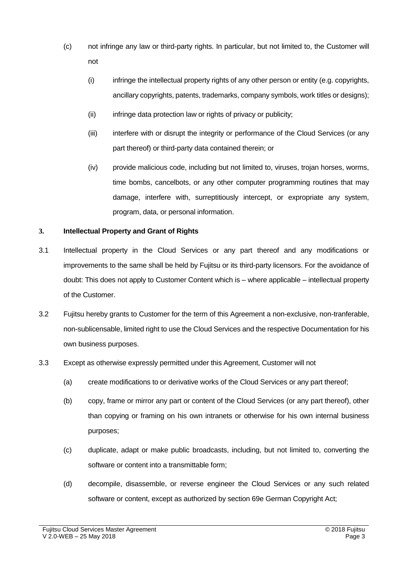- (c) not infringe any law or third-party rights. In particular, but not limited to, the Customer will not
	- (i) infringe the intellectual property rights of any other person or entity (e.g. copyrights, ancillary copyrights, patents, trademarks, company symbols, work titles or designs);
	- (ii) infringe data protection law or rights of privacy or publicity;
	- (iii) interfere with or disrupt the integrity or performance of the Cloud Services (or any part thereof) or third-party data contained therein; or
	- (iv) provide malicious code, including but not limited to, viruses, trojan horses, worms, time bombs, cancelbots, or any other computer programming routines that may damage, interfere with, surreptitiously intercept, or expropriate any system, program, data, or personal information.

# **3. Intellectual Property and Grant of Rights**

- 3.1 Intellectual property in the Cloud Services or any part thereof and any modifications or improvements to the same shall be held by Fujitsu or its third-party licensors. For the avoidance of doubt: This does not apply to Customer Content which is – where applicable – intellectual property of the Customer.
- 3.2 Fujitsu hereby grants to Customer for the term of this Agreement a non-exclusive, non-tranferable, non-sublicensable, limited right to use the Cloud Services and the respective Documentation for his own business purposes.
- 3.3 Except as otherwise expressly permitted under this Agreement, Customer will not
	- (a) create modifications to or derivative works of the Cloud Services or any part thereof;
	- (b) copy, frame or mirror any part or content of the Cloud Services (or any part thereof), other than copying or framing on his own intranets or otherwise for his own internal business purposes;
	- (c) duplicate, adapt or make public broadcasts, including, but not limited to, converting the software or content into a transmittable form;
	- (d) decompile, disassemble, or reverse engineer the Cloud Services or any such related software or content, except as authorized by section 69e German Copyright Act;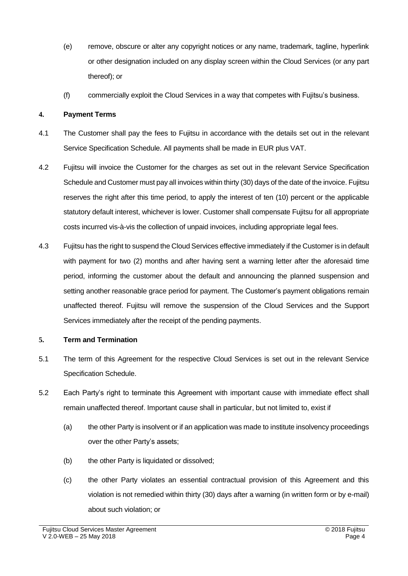- (e) remove, obscure or alter any copyright notices or any name, trademark, tagline, hyperlink or other designation included on any display screen within the Cloud Services (or any part thereof); or
- (f) commercially exploit the Cloud Services in a way that competes with Fujitsu's business.

## **4. Payment Terms**

- 4.1 The Customer shall pay the fees to Fujitsu in accordance with the details set out in the relevant Service Specification Schedule. All payments shall be made in EUR plus VAT.
- 4.2 Fujitsu will invoice the Customer for the charges as set out in the relevant Service Specification Schedule and Customer must pay all invoices within thirty (30) days of the date of the invoice. Fujitsu reserves the right after this time period, to apply the interest of ten (10) percent or the applicable statutory default interest, whichever is lower. Customer shall compensate Fujitsu for all appropriate costs incurred vis-à-vis the collection of unpaid invoices, including appropriate legal fees.
- 4.3 Fujitsu has the right to suspend the Cloud Services effective immediately if the Customer is in default with payment for two (2) months and after having sent a warning letter after the aforesaid time period, informing the customer about the default and announcing the planned suspension and setting another reasonable grace period for payment. The Customer's payment obligations remain unaffected thereof. Fujitsu will remove the suspension of the Cloud Services and the Support Services immediately after the receipt of the pending payments.

### **5. Term and Termination**

- 5.1 The term of this Agreement for the respective Cloud Services is set out in the relevant Service Specification Schedule.
- 5.2 Each Party's right to terminate this Agreement with important cause with immediate effect shall remain unaffected thereof. Important cause shall in particular, but not limited to, exist if
	- (a) the other Party is insolvent or if an application was made to institute insolvency proceedings over the other Party's assets;
	- (b) the other Party is liquidated or dissolved;
	- (c) the other Party violates an essential contractual provision of this Agreement and this violation is not remedied within thirty (30) days after a warning (in written form or by e-mail) about such violation; or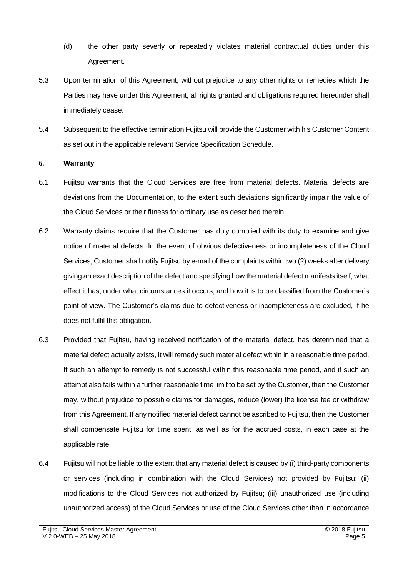- (d) the other party severly or repeatedly violates material contractual duties under this Agreement.
- 5.3 Upon termination of this Agreement, without prejudice to any other rights or remedies which the Parties may have under this Agreement, all rights granted and obligations required hereunder shall immediately cease.
- 5.4 Subsequent to the effective termination Fujitsu will provide the Customer with his Customer Content as set out in the applicable relevant Service Specification Schedule.

#### **6. Warranty**

- 6.1 Fujitsu warrants that the Cloud Services are free from material defects. Material defects are deviations from the Documentation, to the extent such deviations significantly impair the value of the Cloud Services or their fitness for ordinary use as described therein.
- 6.2 Warranty claims require that the Customer has duly complied with its duty to examine and give notice of material defects. In the event of obvious defectiveness or incompleteness of the Cloud Services, Customer shall notify Fujitsu by e-mail of the complaints within two (2) weeks after delivery giving an exact description of the defect and specifying how the material defect manifests itself, what effect it has, under what circumstances it occurs, and how it is to be classified from the Customer's point of view. The Customer's claims due to defectiveness or incompleteness are excluded, if he does not fulfil this obligation.
- 6.3 Provided that Fujitsu, having received notification of the material defect, has determined that a material defect actually exists, it will remedy such material defect within in a reasonable time period. If such an attempt to remedy is not successful within this reasonable time period, and if such an attempt also fails within a further reasonable time limit to be set by the Customer, then the Customer may, without prejudice to possible claims for damages, reduce (lower) the license fee or withdraw from this Agreement. If any notified material defect cannot be ascribed to Fujitsu, then the Customer shall compensate Fujitsu for time spent, as well as for the accrued costs, in each case at the applicable rate.
- 6.4 Fujitsu will not be liable to the extent that any material defect is caused by (i) third-party components or services (including in combination with the Cloud Services) not provided by Fujitsu; (ii) modifications to the Cloud Services not authorized by Fujitsu; (iii) unauthorized use (including unauthorized access) of the Cloud Services or use of the Cloud Services other than in accordance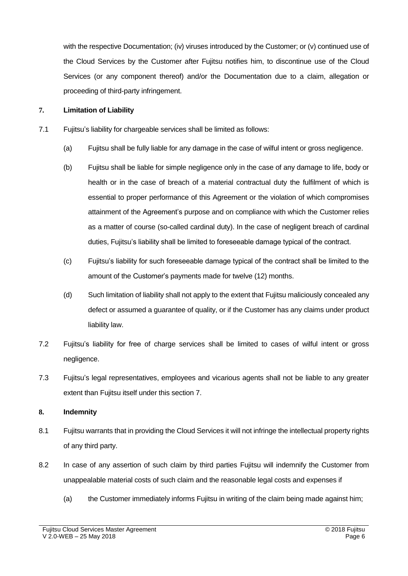with the respective Documentation; (iv) viruses introduced by the Customer; or (v) continued use of the Cloud Services by the Customer after Fujitsu notifies him, to discontinue use of the Cloud Services (or any component thereof) and/or the Documentation due to a claim, allegation or proceeding of third-party infringement.

## **7. Limitation of Liability**

- 7.1 Fujitsu's liability for chargeable services shall be limited as follows:
	- (a) Fujitsu shall be fully liable for any damage in the case of wilful intent or gross negligence.
	- (b) Fujitsu shall be liable for simple negligence only in the case of any damage to life, body or health or in the case of breach of a material contractual duty the fulfilment of which is essential to proper performance of this Agreement or the violation of which compromises attainment of the Agreement's purpose and on compliance with which the Customer relies as a matter of course (so-called cardinal duty). In the case of negligent breach of cardinal duties, Fujitsu's liability shall be limited to foreseeable damage typical of the contract.
	- (c) Fujitsu's liability for such foreseeable damage typical of the contract shall be limited to the amount of the Customer's payments made for twelve (12) months.
	- (d) Such limitation of liability shall not apply to the extent that Fujitsu maliciously concealed any defect or assumed a guarantee of quality, or if the Customer has any claims under product liability law.
- 7.2 Fujitsu's liability for free of charge services shall be limited to cases of wilful intent or gross negligence.
- 7.3 Fujitsu's legal representatives, employees and vicarious agents shall not be liable to any greater extent than Fujitsu itself under this section 7.

### **8. Indemnity**

- 8.1 Fujitsu warrants that in providing the Cloud Services it will not infringe the intellectual property rights of any third party.
- 8.2 In case of any assertion of such claim by third parties Fujitsu will indemnify the Customer from unappealable material costs of such claim and the reasonable legal costs and expenses if
	- (a) the Customer immediately informs Fujitsu in writing of the claim being made against him;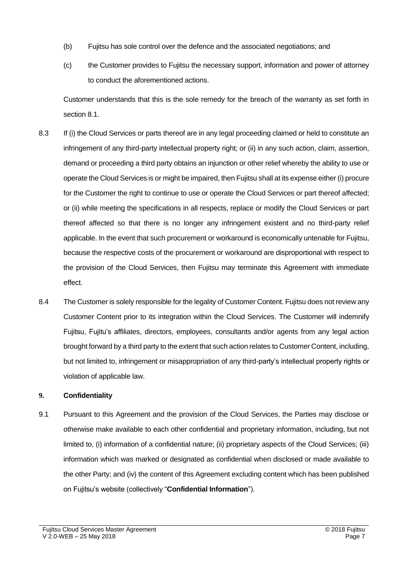- (b) Fujitsu has sole control over the defence and the associated negotiations; and
- (c) the Customer provides to Fujitsu the necessary support, information and power of attorney to conduct the aforementioned actions.

Customer understands that this is the sole remedy for the breach of the warranty as set forth in section 8.1.

- 8.3 If (i) the Cloud Services or parts thereof are in any legal proceeding claimed or held to constitute an infringement of any third-party intellectual property right; or (ii) in any such action, claim, assertion, demand or proceeding a third party obtains an injunction or other relief whereby the ability to use or operate the Cloud Services is or might be impaired, then Fujitsu shall at its expense either (i) procure for the Customer the right to continue to use or operate the Cloud Services or part thereof affected; or (ii) while meeting the specifications in all respects, replace or modify the Cloud Services or part thereof affected so that there is no longer any infringement existent and no third-party relief applicable. In the event that such procurement or workaround is economically untenable for Fujitsu, because the respective costs of the procurement or workaround are disproportional with respect to the provision of the Cloud Services, then Fujitsu may terminate this Agreement with immediate effect.
- 8.4 The Customer is solely responsible for the legality of Customer Content. Fujitsu does not review any Customer Content prior to its integration within the Cloud Services. The Customer will indemnify Fujitsu, Fujitu's affiliates, directors, employees, consultants and/or agents from any legal action brought forward by a third party to the extent that such action relates to Customer Content, including, but not limited to, infringement or misappropriation of any third-party's intellectual property rights or violation of applicable law.

# **9. Confidentiality**

9.1 Pursuant to this Agreement and the provision of the Cloud Services, the Parties may disclose or otherwise make available to each other confidential and proprietary information, including, but not limited to, (i) information of a confidential nature; (ii) proprietary aspects of the Cloud Services; (iii) information which was marked or designated as confidential when disclosed or made available to the other Party; and (iv) the content of this Agreement excluding content which has been published on Fujitsu's website (collectively "**Confidential Information**").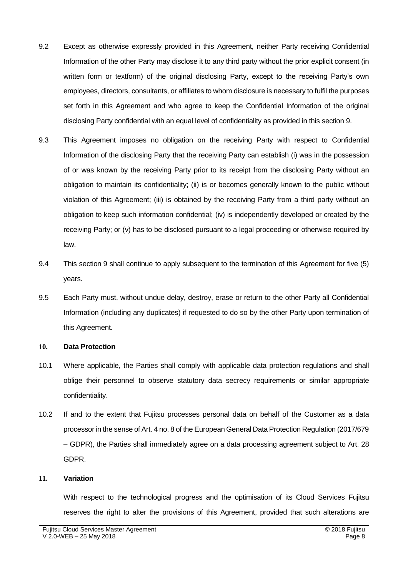- 9.2 Except as otherwise expressly provided in this Agreement, neither Party receiving Confidential Information of the other Party may disclose it to any third party without the prior explicit consent (in written form or textform) of the original disclosing Party, except to the receiving Party's own employees, directors, consultants, or affiliates to whom disclosure is necessary to fulfil the purposes set forth in this Agreement and who agree to keep the Confidential Information of the original disclosing Party confidential with an equal level of confidentiality as provided in this section 9.
- 9.3 This Agreement imposes no obligation on the receiving Party with respect to Confidential Information of the disclosing Party that the receiving Party can establish (i) was in the possession of or was known by the receiving Party prior to its receipt from the disclosing Party without an obligation to maintain its confidentiality; (ii) is or becomes generally known to the public without violation of this Agreement; (iii) is obtained by the receiving Party from a third party without an obligation to keep such information confidential; (iv) is independently developed or created by the receiving Party; or (v) has to be disclosed pursuant to a legal proceeding or otherwise required by law.
- 9.4 This section 9 shall continue to apply subsequent to the termination of this Agreement for five (5) years.
- 9.5 Each Party must, without undue delay, destroy, erase or return to the other Party all Confidential Information (including any duplicates) if requested to do so by the other Party upon termination of this Agreement.

#### **10. Data Protection**

- 10.1 Where applicable, the Parties shall comply with applicable data protection regulations and shall oblige their personnel to observe statutory data secrecy requirements or similar appropriate confidentiality.
- 10.2 If and to the extent that Fujitsu processes personal data on behalf of the Customer as a data processor in the sense of Art. 4 no. 8 of the European General Data Protection Regulation (2017/679 – GDPR), the Parties shall immediately agree on a data processing agreement subject to Art. 28 GDPR.

#### **11. Variation**

With respect to the technological progress and the optimisation of its Cloud Services Fujitsu reserves the right to alter the provisions of this Agreement, provided that such alterations are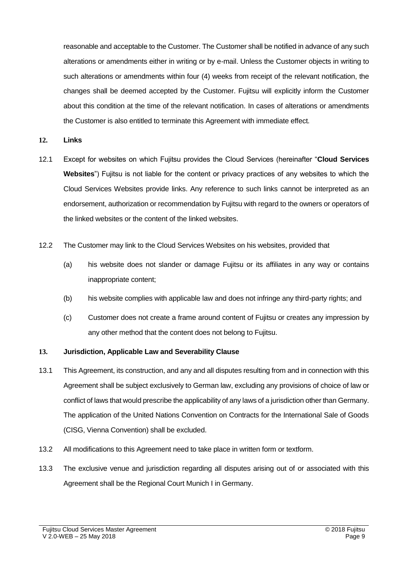reasonable and acceptable to the Customer. The Customer shall be notified in advance of any such alterations or amendments either in writing or by e-mail. Unless the Customer objects in writing to such alterations or amendments within four (4) weeks from receipt of the relevant notification, the changes shall be deemed accepted by the Customer. Fujitsu will explicitly inform the Customer about this condition at the time of the relevant notification. In cases of alterations or amendments the Customer is also entitled to terminate this Agreement with immediate effect.

**12. Links**

- 12.1 Except for websites on which Fujitsu provides the Cloud Services (hereinafter "**Cloud Services Websites**") Fujitsu is not liable for the content or privacy practices of any websites to which the Cloud Services Websites provide links. Any reference to such links cannot be interpreted as an endorsement, authorization or recommendation by Fujitsu with regard to the owners or operators of the linked websites or the content of the linked websites.
- 12.2 The Customer may link to the Cloud Services Websites on his websites, provided that
	- (a) his website does not slander or damage Fujitsu or its affiliates in any way or contains inappropriate content;
	- (b) his website complies with applicable law and does not infringe any third-party rights; and
	- (c) Customer does not create a frame around content of Fujitsu or creates any impression by any other method that the content does not belong to Fujitsu.

### **13. Jurisdiction, Applicable Law and Severability Clause**

- 13.1 This Agreement, its construction, and any and all disputes resulting from and in connection with this Agreement shall be subject exclusively to German law, excluding any provisions of choice of law or conflict of laws that would prescribe the applicability of any laws of a jurisdiction other than Germany. The application of the United Nations Convention on Contracts for the International Sale of Goods (CISG, Vienna Convention) shall be excluded.
- 13.2 All modifications to this Agreement need to take place in written form or textform.
- 13.3 The exclusive venue and jurisdiction regarding all disputes arising out of or associated with this Agreement shall be the Regional Court Munich I in Germany.